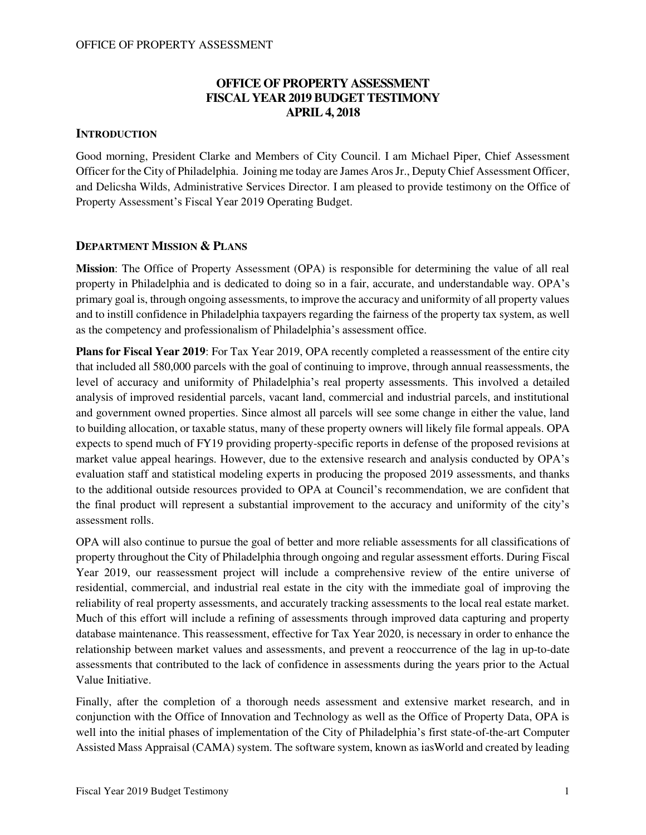## **OFFICE OF PROPERTY ASSESSMENT FISCAL YEAR 2019 BUDGET TESTIMONY APRIL 4, 2018**

### **INTRODUCTION**

Good morning, President Clarke and Members of City Council. I am Michael Piper, Chief Assessment Officer for the City of Philadelphia. Joining me today are James Aros Jr., Deputy Chief Assessment Officer, and Delicsha Wilds, Administrative Services Director. I am pleased to provide testimony on the Office of Property Assessment's Fiscal Year 2019 Operating Budget.

### **DEPARTMENT MISSION & PLANS**

**Mission**: The Office of Property Assessment (OPA) is responsible for determining the value of all real property in Philadelphia and is dedicated to doing so in a fair, accurate, and understandable way. OPA's primary goal is, through ongoing assessments, to improve the accuracy and uniformity of all property values and to instill confidence in Philadelphia taxpayers regarding the fairness of the property tax system, as well as the competency and professionalism of Philadelphia's assessment office.

**Plans for Fiscal Year 2019**: For Tax Year 2019, OPA recently completed a reassessment of the entire city that included all 580,000 parcels with the goal of continuing to improve, through annual reassessments, the level of accuracy and uniformity of Philadelphia's real property assessments. This involved a detailed analysis of improved residential parcels, vacant land, commercial and industrial parcels, and institutional and government owned properties. Since almost all parcels will see some change in either the value, land to building allocation, or taxable status, many of these property owners will likely file formal appeals. OPA expects to spend much of FY19 providing property-specific reports in defense of the proposed revisions at market value appeal hearings. However, due to the extensive research and analysis conducted by OPA's evaluation staff and statistical modeling experts in producing the proposed 2019 assessments, and thanks to the additional outside resources provided to OPA at Council's recommendation, we are confident that the final product will represent a substantial improvement to the accuracy and uniformity of the city's assessment rolls.

OPA will also continue to pursue the goal of better and more reliable assessments for all classifications of property throughout the City of Philadelphia through ongoing and regular assessment efforts. During Fiscal Year 2019, our reassessment project will include a comprehensive review of the entire universe of residential, commercial, and industrial real estate in the city with the immediate goal of improving the reliability of real property assessments, and accurately tracking assessments to the local real estate market. Much of this effort will include a refining of assessments through improved data capturing and property database maintenance. This reassessment, effective for Tax Year 2020, is necessary in order to enhance the relationship between market values and assessments, and prevent a reoccurrence of the lag in up-to-date assessments that contributed to the lack of confidence in assessments during the years prior to the Actual Value Initiative.

Finally, after the completion of a thorough needs assessment and extensive market research, and in conjunction with the Office of Innovation and Technology as well as the Office of Property Data, OPA is well into the initial phases of implementation of the City of Philadelphia's first state-of-the-art Computer Assisted Mass Appraisal (CAMA) system. The software system, known as iasWorld and created by leading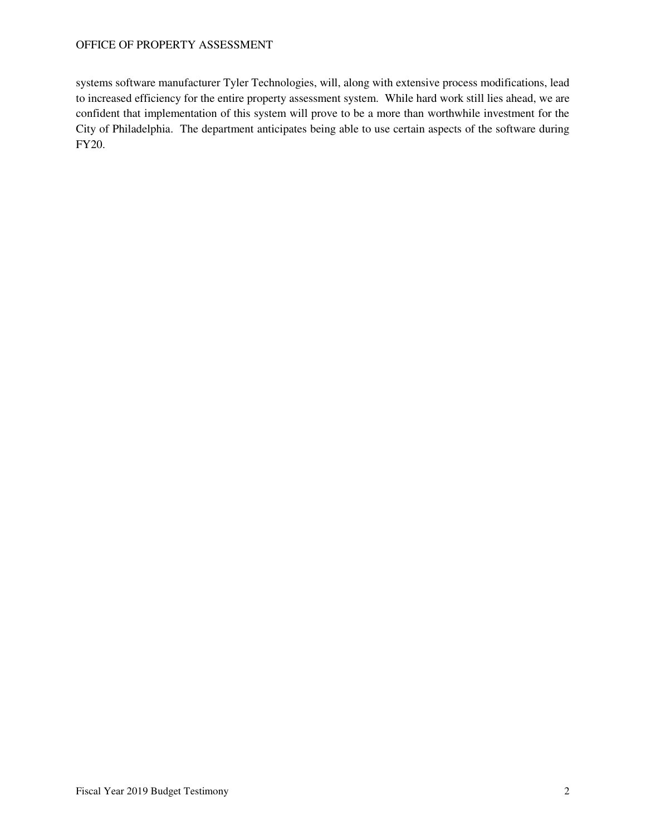systems software manufacturer Tyler Technologies, will, along with extensive process modifications, lead to increased efficiency for the entire property assessment system. While hard work still lies ahead, we are confident that implementation of this system will prove to be a more than worthwhile investment for the City of Philadelphia. The department anticipates being able to use certain aspects of the software during FY20.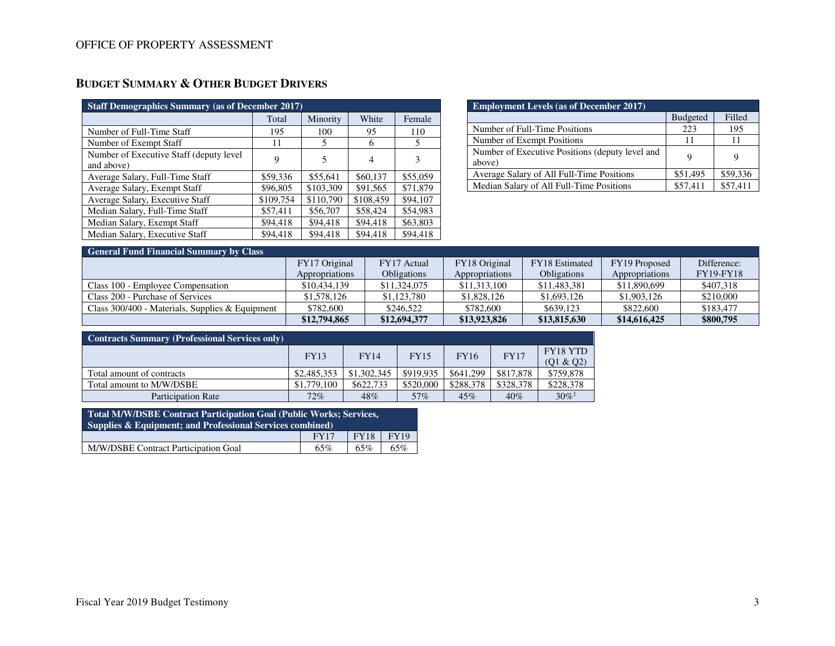| <b>Staff Demographics Summary (as of December 2017)</b> |           |           |           |          |  |  |  |  |  |
|---------------------------------------------------------|-----------|-----------|-----------|----------|--|--|--|--|--|
|                                                         | Total     | Minority  | White     | Female   |  |  |  |  |  |
| Number of Full-Time Staff                               | 195       | 100       | 95        | 110      |  |  |  |  |  |
| Number of Exempt Staff                                  | 11        | 5         | 6         | 5        |  |  |  |  |  |
| Number of Executive Staff (deputy level)<br>and above)  | 9         | 5         | 4         | 3        |  |  |  |  |  |
| Average Salary, Full-Time Staff                         | \$59,336  | \$55.641  | \$60,137  | \$55,059 |  |  |  |  |  |
| Average Salary, Exempt Staff                            | \$96,805  | \$103,309 | \$91,565  | \$71,879 |  |  |  |  |  |
| Average Salary, Executive Staff                         | \$109,754 | \$110,790 | \$108,459 | \$94,107 |  |  |  |  |  |
| Median Salary, Full-Time Staff                          | \$57,411  | \$56,707  | \$58,424  | \$54.983 |  |  |  |  |  |
| Median Salary, Exempt Staff                             | \$94,418  | \$94,418  | \$94,418  | \$63,803 |  |  |  |  |  |
| Median Salary, Executive Staff                          | \$94,418  | \$94,418  | \$94,418  | \$94,418 |  |  |  |  |  |

| <b>Employment Levels (as of December 2017)</b>            |                 |          |  |  |  |  |  |  |
|-----------------------------------------------------------|-----------------|----------|--|--|--|--|--|--|
|                                                           | <b>Budgeted</b> | Filled   |  |  |  |  |  |  |
| Number of Full-Time Positions                             | 223             | 195      |  |  |  |  |  |  |
| Number of Exempt Positions                                | 11              | 11       |  |  |  |  |  |  |
| Number of Executive Positions (deputy level and<br>above) |                 |          |  |  |  |  |  |  |
| Average Salary of All Full-Time Positions                 | \$51,495        | \$59,336 |  |  |  |  |  |  |
| Median Salary of All Full-Time Positions                  | \$57.411        | \$57,411 |  |  |  |  |  |  |

| <b>General Fund Financial Summary by Class</b>    |                |                    |                |                    |                |                  |  |  |  |  |
|---------------------------------------------------|----------------|--------------------|----------------|--------------------|----------------|------------------|--|--|--|--|
|                                                   | FY17 Original  | FY17 Actual        | FY18 Original  | FY18 Estimated     | FY19 Proposed  | Difference:      |  |  |  |  |
|                                                   | Appropriations | <b>Obligations</b> | Appropriations | <b>Obligations</b> | Appropriations | <b>FY19-FY18</b> |  |  |  |  |
| Class 100 - Employee Compensation                 | \$10,434,139   | \$11,324,075       | \$11,313,100   | \$11,483,381       | \$11,890,699   | \$407.318        |  |  |  |  |
| Class 200 - Purchase of Services                  | \$1,578,126    | \$1,123,780        | \$1,828,126    | \$1,693,126        | \$1,903,126    | \$210,000        |  |  |  |  |
| Class $300/400$ - Materials, Supplies & Equipment | \$782,600      | \$246,522          | \$782,600      | \$639,123          | \$822,600      | \$183,477        |  |  |  |  |
|                                                   | \$12,794,865   | \$12,694,377       | \$13,923,826   | \$13,815,630       | \$14,616,425   | \$800,795        |  |  |  |  |

| <b>Contracts Summary (Professional Services only)</b> |             |             |             |             |             |                       |  |  |  |
|-------------------------------------------------------|-------------|-------------|-------------|-------------|-------------|-----------------------|--|--|--|
|                                                       | <b>FY13</b> | <b>FY14</b> | <b>FY15</b> | <b>FY16</b> | <b>FY17</b> | FY18 YTD<br>(Q1 & Q2) |  |  |  |
| Total amount of contracts                             | \$2,485,353 | \$1,302,345 | \$919.935   | \$641,299   | \$817,878   | \$759,878             |  |  |  |
| Total amount to M/W/DSBE                              | \$1,779,100 | \$622,733   | \$520,000   | \$288.378   | \$328,378   | \$228,378             |  |  |  |
| <b>Participation Rate</b>                             | $72\%$      | 48%         | 57%         | 45%         | 40%         | $30\%$ <sup>1</sup>   |  |  |  |

| Total M/W/DSBE Contract Participation Goal (Public Works; Services,<br>Supplies & Equipment; and Professional Services combined) |             |             |             |  |  |  |  |  |
|----------------------------------------------------------------------------------------------------------------------------------|-------------|-------------|-------------|--|--|--|--|--|
|                                                                                                                                  | <b>FY17</b> | <b>FY18</b> | <b>FY19</b> |  |  |  |  |  |
| M/W/DSBE Contract Participation Goal                                                                                             | 65%         | 65%         | 65%         |  |  |  |  |  |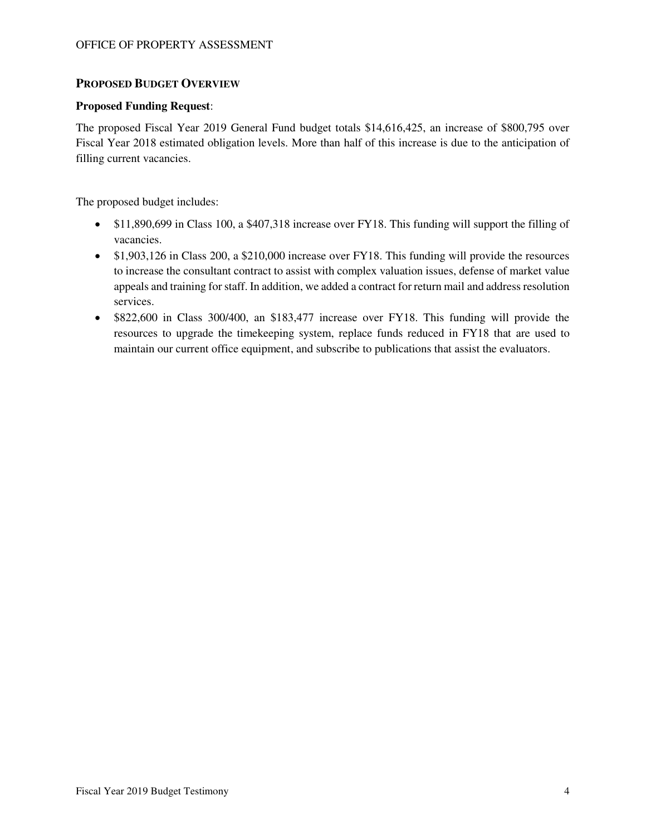### **PROPOSED BUDGET OVERVIEW**

### **Proposed Funding Request**:

The proposed Fiscal Year 2019 General Fund budget totals \$14,616,425, an increase of \$800,795 over Fiscal Year 2018 estimated obligation levels. More than half of this increase is due to the anticipation of filling current vacancies.

The proposed budget includes:

- \$11,890,699 in Class 100, a \$407,318 increase over FY18. This funding will support the filling of vacancies.
- \$1,903,126 in Class 200, a \$210,000 increase over FY18. This funding will provide the resources to increase the consultant contract to assist with complex valuation issues, defense of market value appeals and training for staff. In addition, we added a contract for return mail and address resolution services.
- \$822,600 in Class 300/400, an \$183,477 increase over FY18. This funding will provide the resources to upgrade the timekeeping system, replace funds reduced in FY18 that are used to maintain our current office equipment, and subscribe to publications that assist the evaluators.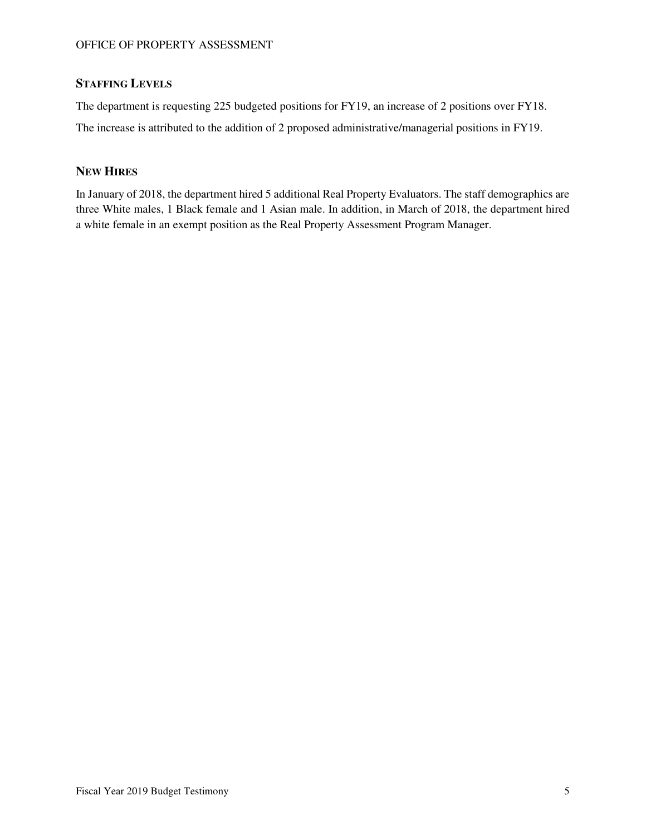## **STAFFING LEVELS**

The department is requesting 225 budgeted positions for FY19, an increase of 2 positions over FY18. The increase is attributed to the addition of 2 proposed administrative/managerial positions in FY19.

## **NEW HIRES**

In January of 2018, the department hired 5 additional Real Property Evaluators. The staff demographics are three White males, 1 Black female and 1 Asian male. In addition, in March of 2018, the department hired a white female in an exempt position as the Real Property Assessment Program Manager.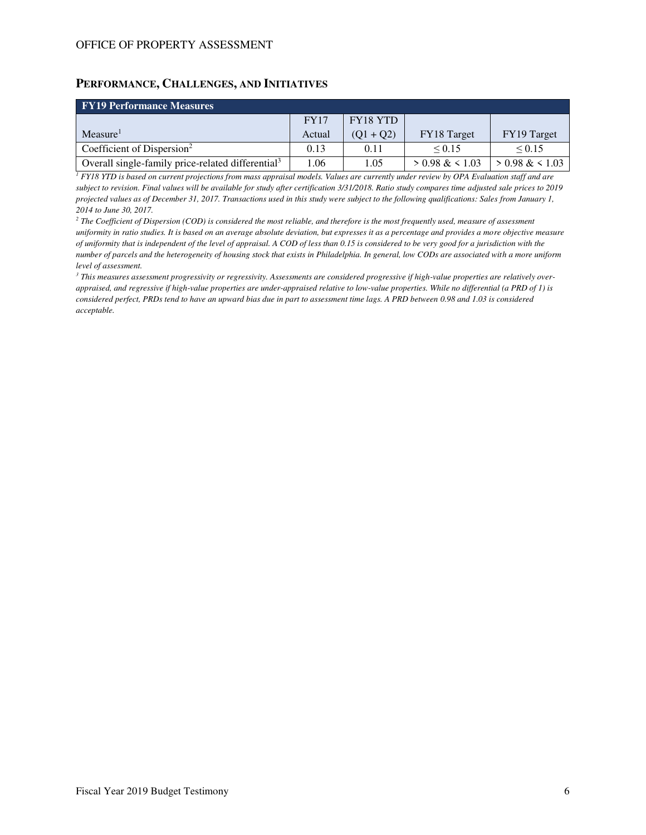### **PERFORMANCE, CHALLENGES, AND INITIATIVES**

| <b>FY19 Performance Measures</b>                              |             |                 |                  |                  |  |  |  |  |  |
|---------------------------------------------------------------|-------------|-----------------|------------------|------------------|--|--|--|--|--|
|                                                               | <b>FY17</b> | <b>FY18 YTD</b> |                  |                  |  |  |  |  |  |
| Measure <sup>1</sup>                                          | Actual      | $(01 + 02)$     | FY18 Target      | FY19 Target      |  |  |  |  |  |
| Coefficient of Dispersion <sup>2</sup>                        | 0.13        | 0.11            | $\le 0.15$       | ${}_{0.15}$      |  |  |  |  |  |
| Overall single-family price-related differential <sup>3</sup> | 1.06        | 1.05            | $> 0.98 \& 1.03$ | $> 0.98 \& 1.03$ |  |  |  |  |  |

*1 FY18 YTD is based on current projections from mass appraisal models. Values are currently under review by OPA Evaluation staff and are subject to revision. Final values will be available for study after certification 3/31/2018. Ratio study compares time adjusted sale prices to 2019 projected values as of December 31, 2017. Transactions used in this study were subject to the following qualifications: Sales from January 1, 2014 to June 30, 2017.*

*2 The Coefficient of Dispersion (COD) is considered the most reliable, and therefore is the most frequently used, measure of assessment uniformity in ratio studies. It is based on an average absolute deviation, but expresses it as a percentage and provides a more objective measure of uniformity that is independent of the level of appraisal. A COD of less than 0.15 is considered to be very good for a jurisdiction with the number of parcels and the heterogeneity of housing stock that exists in Philadelphia. In general, low CODs are associated with a more uniform level of assessment.* 

*3 This measures assessment progressivity or regressivity. Assessments are considered progressive if high-value properties are relatively overappraised, and regressive if high-value properties are under-appraised relative to low-value properties. While no differential (a PRD of 1) is considered perfect, PRDs tend to have an upward bias due in part to assessment time lags. A PRD between 0.98 and 1.03 is considered acceptable.*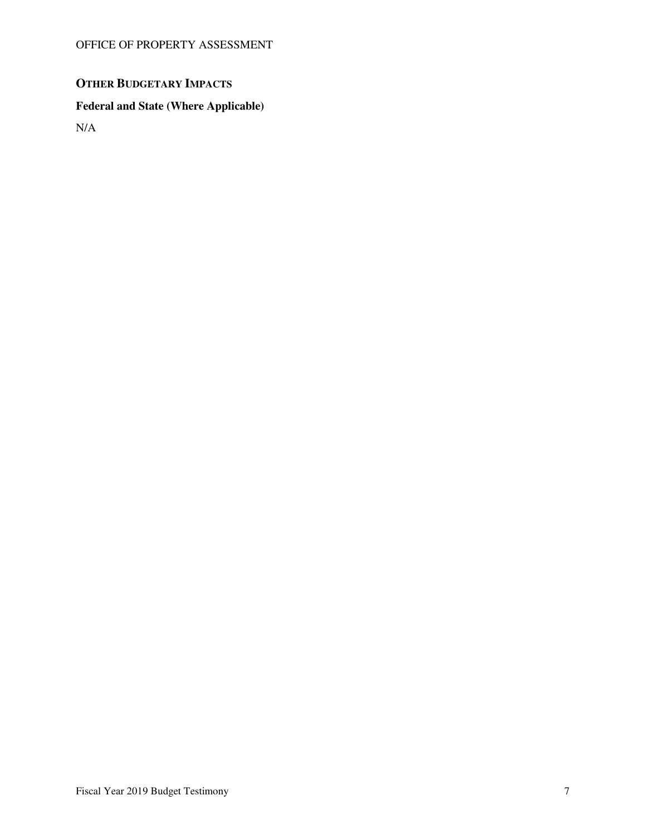# **OTHER BUDGETARY IMPACTS**

## **Federal and State (Where Applicable)**

N/A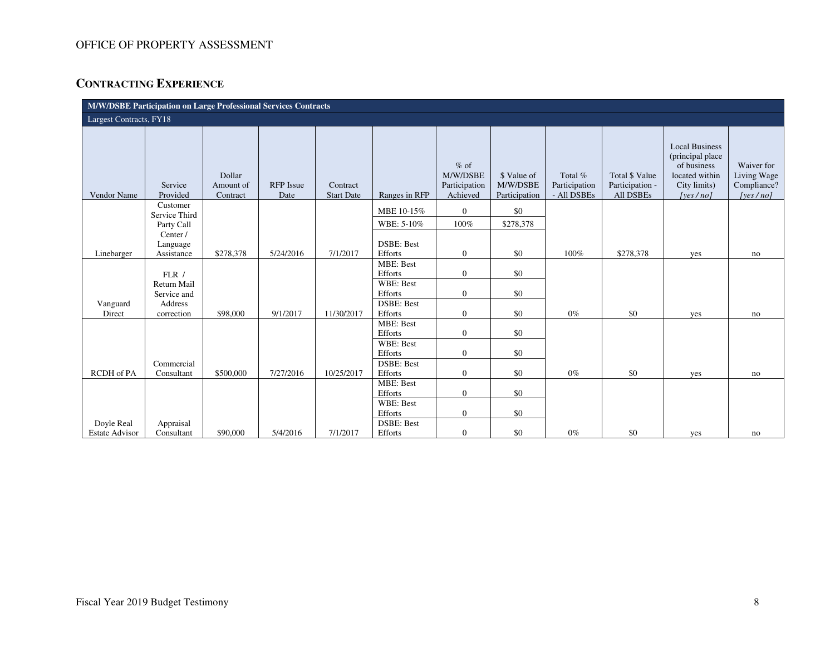## **CONTRACTING EXPERIENCE**

| M/W/DSBE Participation on Large Professional Services Contracts |                            |                                 |                          |                               |                              |                                                 |                                          |                                         |                                                       |                                                                                                         |                                                      |
|-----------------------------------------------------------------|----------------------------|---------------------------------|--------------------------|-------------------------------|------------------------------|-------------------------------------------------|------------------------------------------|-----------------------------------------|-------------------------------------------------------|---------------------------------------------------------------------------------------------------------|------------------------------------------------------|
| Largest Contracts, FY18                                         |                            |                                 |                          |                               |                              |                                                 |                                          |                                         |                                                       |                                                                                                         |                                                      |
| Vendor Name                                                     | Service<br>Provided        | Dollar<br>Amount of<br>Contract | <b>RFP</b> Issue<br>Date | Contract<br><b>Start Date</b> | Ranges in RFP                | $%$ of<br>M/W/DSBE<br>Participation<br>Achieved | \$ Value of<br>M/W/DSBE<br>Participation | Total %<br>Participation<br>- All DSBEs | <b>Total \$ Value</b><br>Participation -<br>All DSBEs | <b>Local Business</b><br>(principal place)<br>of business<br>located within<br>City limits)<br>[yes/no] | Waiver for<br>Living Wage<br>Compliance?<br>[yes/no] |
|                                                                 | Customer<br>Service Third  |                                 |                          |                               | MBE 10-15%                   | $\Omega$                                        | \$0                                      |                                         |                                                       |                                                                                                         |                                                      |
|                                                                 | Party Call                 |                                 |                          |                               | WBE: 5-10%                   | 100%                                            | \$278,378                                |                                         |                                                       |                                                                                                         |                                                      |
|                                                                 | Center /<br>Language       |                                 |                          |                               | <b>DSBE: Best</b>            |                                                 |                                          |                                         |                                                       |                                                                                                         |                                                      |
| Linebarger                                                      | Assistance                 | \$278,378                       | 5/24/2016                | 7/1/2017                      | Efforts<br><b>MBE: Best</b>  | $\overline{0}$                                  | \$0                                      | 100%                                    | \$278,378                                             | yes                                                                                                     | no                                                   |
|                                                                 | FLR/                       |                                 |                          |                               | <b>Efforts</b>               | $\overline{0}$                                  | \$0                                      |                                         |                                                       |                                                                                                         |                                                      |
|                                                                 | Return Mail<br>Service and |                                 |                          |                               | <b>WBE: Best</b><br>Efforts  | $\overline{0}$                                  | \$0                                      |                                         |                                                       |                                                                                                         |                                                      |
| Vanguard<br>Direct                                              | Address<br>correction      | \$98,000                        | 9/1/2017                 | 11/30/2017                    | <b>DSBE: Best</b><br>Efforts | $\overline{0}$                                  | \$0                                      | $0\%$                                   | \$0                                                   | yes                                                                                                     | no                                                   |
|                                                                 |                            |                                 |                          |                               | MBE: Best<br>Efforts         | $\overline{0}$                                  | \$0                                      |                                         |                                                       |                                                                                                         |                                                      |
|                                                                 |                            |                                 |                          |                               | <b>WBE: Best</b><br>Efforts  | $\overline{0}$                                  | \$0                                      |                                         |                                                       |                                                                                                         |                                                      |
| <b>RCDH</b> of PA                                               | Commercial<br>Consultant   | \$500,000                       | 7/27/2016                | 10/25/2017                    | <b>DSBE: Best</b><br>Efforts | $\overline{0}$                                  | \$0                                      | $0\%$                                   | \$0                                                   | yes                                                                                                     | no                                                   |
|                                                                 |                            |                                 |                          |                               | <b>MBE: Best</b><br>Efforts  | $\Omega$                                        | \$0                                      |                                         |                                                       |                                                                                                         |                                                      |
|                                                                 |                            |                                 |                          |                               | WBE: Best<br>Efforts         | $\overline{0}$                                  | \$0                                      |                                         |                                                       |                                                                                                         |                                                      |
| Doyle Real<br><b>Estate Advisor</b>                             | Appraisal<br>Consultant    | \$90,000                        | 5/4/2016                 | 7/1/2017                      | <b>DSBE: Best</b><br>Efforts | $\overline{0}$                                  | \$0                                      | $0\%$                                   | \$0                                                   | yes                                                                                                     | no                                                   |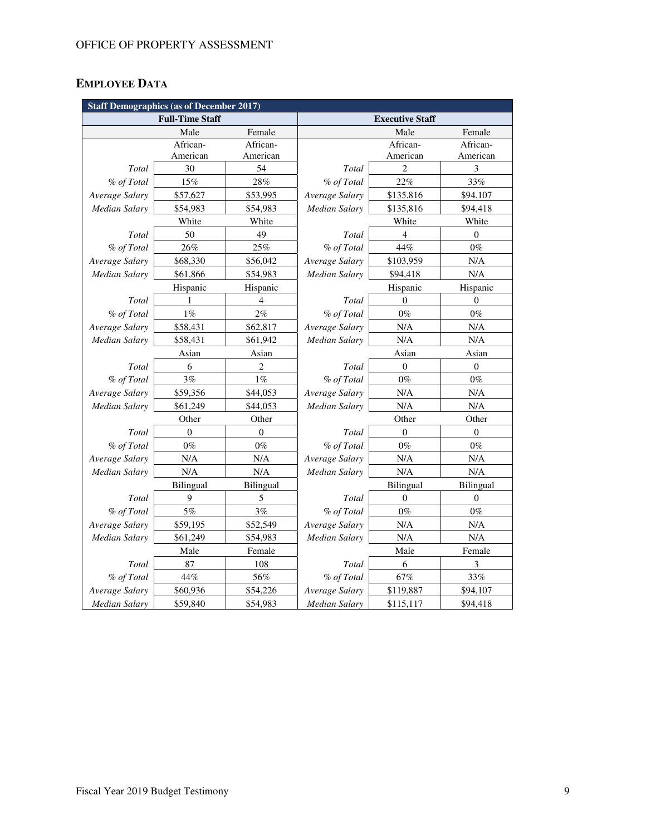# **EMPLOYEE DATA**

| <b>Staff Demographics (as of December 2017)</b> |                        |                  |                        |                  |                  |  |  |  |  |
|-------------------------------------------------|------------------------|------------------|------------------------|------------------|------------------|--|--|--|--|
|                                                 | <b>Full-Time Staff</b> |                  | <b>Executive Staff</b> |                  |                  |  |  |  |  |
|                                                 | Male                   | Female           |                        | Male             | Female           |  |  |  |  |
|                                                 | African-               | African-         |                        | African-         | African-         |  |  |  |  |
|                                                 | American               | American         |                        | American         | American         |  |  |  |  |
| Total                                           | 30                     | 54               | Total                  | $\overline{c}$   | 3                |  |  |  |  |
| % of Total                                      | 15%                    | 28%              | % of Total             | 22%              | 33%              |  |  |  |  |
| Average Salary                                  | \$57,627               | \$53,995         | Average Salary         | \$135,816        | \$94,107         |  |  |  |  |
| <b>Median Salary</b>                            | \$54,983               | \$54,983         | Median Salary          | \$135,816        | \$94,418         |  |  |  |  |
|                                                 | White                  | White            |                        | White            | White            |  |  |  |  |
| Total                                           | 50                     | 49               | Total                  | 4                | $\overline{0}$   |  |  |  |  |
| % of Total                                      | 26%                    | 25%              | % of Total             | 44%              | $0\%$            |  |  |  |  |
| Average Salary                                  | \$68,330               | \$56,042         | Average Salary         | \$103,959        | N/A              |  |  |  |  |
| Median Salary                                   | \$61,866               | \$54,983         | Median Salary          | \$94,418         | N/A              |  |  |  |  |
|                                                 | Hispanic               | Hispanic         |                        | Hispanic         | Hispanic         |  |  |  |  |
| Total                                           | 1                      | $\overline{4}$   | Total                  | $\Omega$         | $\overline{0}$   |  |  |  |  |
| % of Total                                      | $1\%$                  | $2\%$            | % of Total             | $0\%$            | $0\%$            |  |  |  |  |
| Average Salary                                  | \$58,431               | \$62,817         | Average Salary         | N/A              | N/A              |  |  |  |  |
| <b>Median Salary</b>                            | \$58,431               | \$61,942         | <b>Median Salary</b>   | N/A              | N/A              |  |  |  |  |
| Asian                                           |                        | Asian            |                        | Asian            | Asian            |  |  |  |  |
| Total                                           | 6                      | 2                | Total                  | $\boldsymbol{0}$ | $\boldsymbol{0}$ |  |  |  |  |
| % of Total                                      | $3\%$                  | $1\%$            | % of Total             | $0\%$            | $0\%$            |  |  |  |  |
| Average Salary                                  | \$59,356               | \$44,053         | Average Salary         | N/A              | N/A              |  |  |  |  |
| Median Salary                                   | \$61,249               | \$44,053         | <b>Median Salary</b>   | N/A              | N/A              |  |  |  |  |
|                                                 | Other                  | Other            |                        | Other            | Other            |  |  |  |  |
| Total                                           | $\mathbf{0}$           | $\boldsymbol{0}$ | Total                  | $\mathbf{0}$     | $\boldsymbol{0}$ |  |  |  |  |
| % of Total                                      | $0\%$                  | $0\%$            | % of Total             | $0\%$            | $0\%$            |  |  |  |  |
| Average Salary                                  | N/A                    | N/A              | Average Salary         | N/A              | N/A              |  |  |  |  |
| Median Salary                                   | N/A                    | N/A              | Median Salary          | N/A              | N/A              |  |  |  |  |
|                                                 | Bilingual              | Bilingual        |                        | Bilingual        | Bilingual        |  |  |  |  |
| Total                                           | 9                      | 5                | Total                  | $\mathbf{0}$     | $\mathbf{0}$     |  |  |  |  |
| % of Total                                      | 5%                     | $3\%$            | % of Total             | $0\%$            | $0\%$            |  |  |  |  |
| Average Salary                                  | \$59,195               | \$52,549         | Average Salary         | N/A              | N/A              |  |  |  |  |
| Median Salary                                   | \$61,249               | \$54,983         | <b>Median Salary</b>   | N/A              | N/A              |  |  |  |  |
|                                                 | Male                   | Female           | Male                   |                  | Female           |  |  |  |  |
| Total                                           | 87                     | 108              | Total                  | 6                | $\mathfrak{Z}$   |  |  |  |  |
| % of Total                                      | 44%                    | 56%              | % of Total             | 67%              | $33\%$           |  |  |  |  |
| Average Salary                                  | \$60,936               | \$54,226         | Average Salary         | \$119,887        | \$94,107         |  |  |  |  |
| <b>Median Salary</b>                            | \$59,840               | \$54,983         | <b>Median Salary</b>   | \$115,117        | \$94,418         |  |  |  |  |